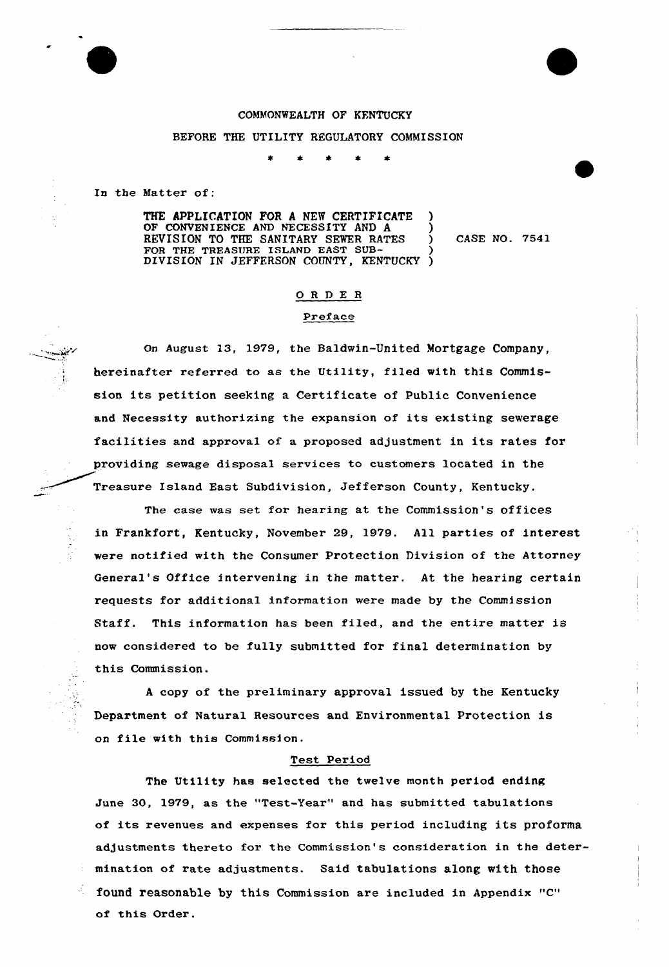# COMMONWEALTH OF KFNTUCKY

#### BEFORE THE UTILITY REGULATORY COMMISSION

In the Matter of:

I:

THE APPLICATION FOR <sup>A</sup> NEW CERTIFICATE OF CONVENIENCE AND NECESSITY AND A REVISION TO THE SANITARY SEWER RATES FOR THE TREASURE ISLAND EAST SUB-DIVISION IN JEFFERSON COUNTY, KENTUCKY ) ) ) )

) CASE NO. 7541

### ORDER

### Preface

On August 13, 1979, the Baldwin-United Mortgage Company, hereinafter referred to as the Uti1ity, filed with this Commission its petition seeking <sup>a</sup> Certificate of Public Convenience and Necessity authorizing the expansion of its existing sewerage facilities and approva1 of a proposed adjustment in its rates for providing sewage disposa1 services to customers located in the Treasure Island East Subdivision, Jefferson County, Kentucky.

The case was set for hearing at the Commission's offices in Frankfort, Kentucky, November 29, 1979. All parties of interest were notified with the Consumer Protection Division of the Attorney General's Office intervening in the matter. At the hearing certain requests for additional information were made by the Commission Staff. This information has been filed, and the entire matter is now considered to be fully submitted for final determination by this Commission.

<sup>A</sup> copy of the preliminary approval issued by the Kentucky Department of Natural Resources and Environmental Protection is on file with this Commission.

#### Test Period

The Utility has selected the twelve month period ending June 30, 1979, as the "Test-Year" and has submitted tabulations of its revenues and expenses for this period including its proforma adjustments thereto for the Commission's consideration in the determination of rate adjustments. Said tabulations along with those found reasonable by this Commission are included in Appendix "C" of this Order.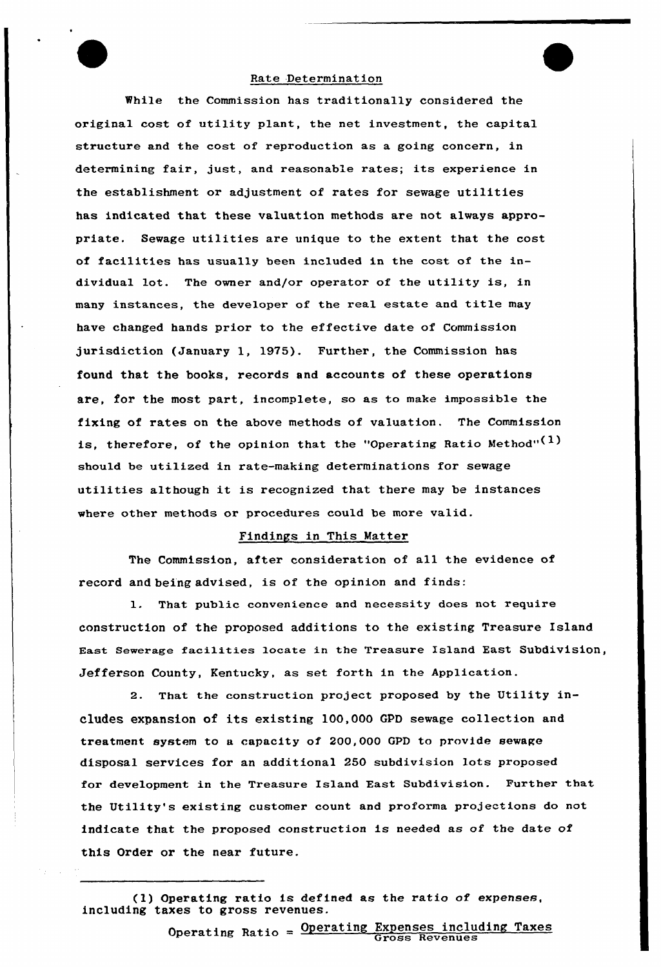# Rate Determination

While the Commission has traditionally considered the original cost of utility plant, the net investment, the capital structure and the cost of reproduction as a going concern, in determining fair, just, and reasonable rates; its experience in the establishment or adjustment of rates for sewage utilities has indicated that these valuation methods are not always appropriate. Sewage utilities are unique to the extent that the cost of facilities has usually been included in the cost of the individual lot. The owner and/or operator of the utility is, in many instances, the developer of the real estate and title may have changed hands prior to the effective date of Commission jurisdiction (January 1, 1975). Further, the Commission has found that the books, records and accounts of these operations are, for the most part, incomplete, so as to make impossible the fixing of rates on the above methods of valuation. The Commission is, therefore, of the opinion that the "Operating Ratio Method" $(1)$ should be utilized in rate-making determinations for sewage utilities although it is recognized that there may be instances where other methods or procedures could be more valid.

### Findings in This Matter

The Commission, after consideration of all the evidence of record and being advised, is of the opinion and finds:

1. That public convenience and necessity does not require construction of the proposed additions to the existing Treasure Island East Sewerage facilities locate in the Treasure Island East Subdivision, Jefferson County, Kentucky, as set forth in the Application.

2. That the construction project proposed by the Utility includes expansion of its existing 100,000 GPD sewage collection and treatment system to a capacity of 200,000 GPD to provide sewage disposal services for an additional 250 subdivision lots proposed for development in the Treasure Island East Subdivision. Further that the Utility's existing customer count and proforma projections do not indicate that the proposed construction is needed as of the date of this Order or the near future.

(1) Operating ratio is defined as the ratio of expenses, including taxes to gross revenues.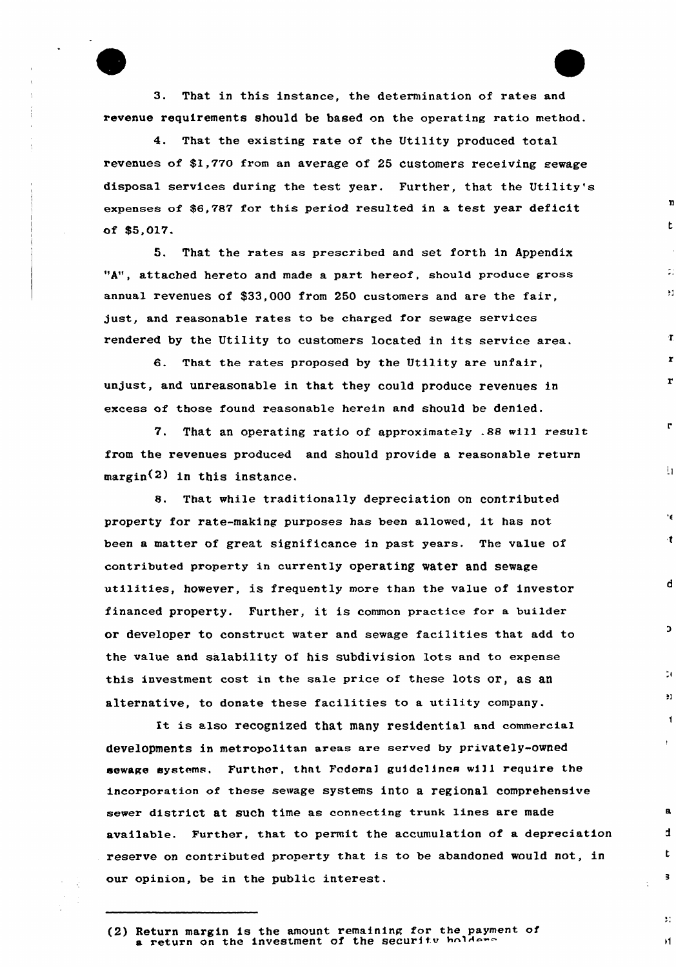3. That in this instance, the determination of rates and xevenue requirements should be based on the operating ratio method.

4. That the existing rate of the Utility produced total revenues of \$1,770 from an average of 25 customers receiving sewage disposal services during the test year. Further, that the Utility's expenses of \$6,787 for this period resulted in a test year deficit of \$5,017.

 $\mathbf{n}$ 

t.

 $\mathcal{L}^{\pm}$ 

¥1

 $\mathbf{r}$ 

 $\mathbf{r}$ 

 $\mathbf{r}$ 

 $\mathbf{r}$ 

 $\mathbf{h}$ 

٠ę.

 $\mathbf{t}$ 

 $\mathbf d$ 

 $\overline{a}$ 

 $\mathbb{Z}$ 

 $\cdot$ 

 $\blacktriangleleft$ 

 $\mathbf{a}$ 

t.

 $\overline{\mathbf{3}}$ 

 $\mathbf{R}$ 

 $\mathbf{H}$ 

5. That the rates as prescribed and set forth in Appendix "A", attached hereto and made a part hereof, should produce gross annual revenues of \$33,000 from 250 customers and are the fair, just, and reasonable rates to be charged for sewage services rendered by the Utility to customers located in its service area.

6. That the rates proposed by the Utility are unfaix, unjust, and unreasonable in that they could produce revenues in excess of those found reasonable hexein and should be denied.

7. That an operating ratio of approximately .88 will result from the revenues produced and should provide a reasonable return margin<2) in this instance.

8, That while traditionally depreciation on contributed pxoperty for rate-making purposes has been allowed, it has not been a matter of great significance in past years. The value of contributed propexty in currently operating water and sewage utilities, however, is frequently more than the value of investor financed property. Further, it is common practice for a builder or developer to construct water and sewage facilities that add to the value and salability of his subdivision lots and to expense this investment cost in the sale price of these lots or, as an alternative, to donate these facilities to a utility company.

It is also recognized that many residential and commercial developments in metropolitan areas are served by privately-owned sewage systems, Further, that Federal guidelines will require the incorporation of these sewage systems into a regional comprehensive sewer district at such time as connecting trunk lines are made available. Further, that to permit the accumulation of a depreciation reserve on contributed property that is to be abandoned would not, in our opinion, be in the public interest.

<sup>(2)</sup> Return margin is the amount remaining for the payment of a return maight is the amount remaining for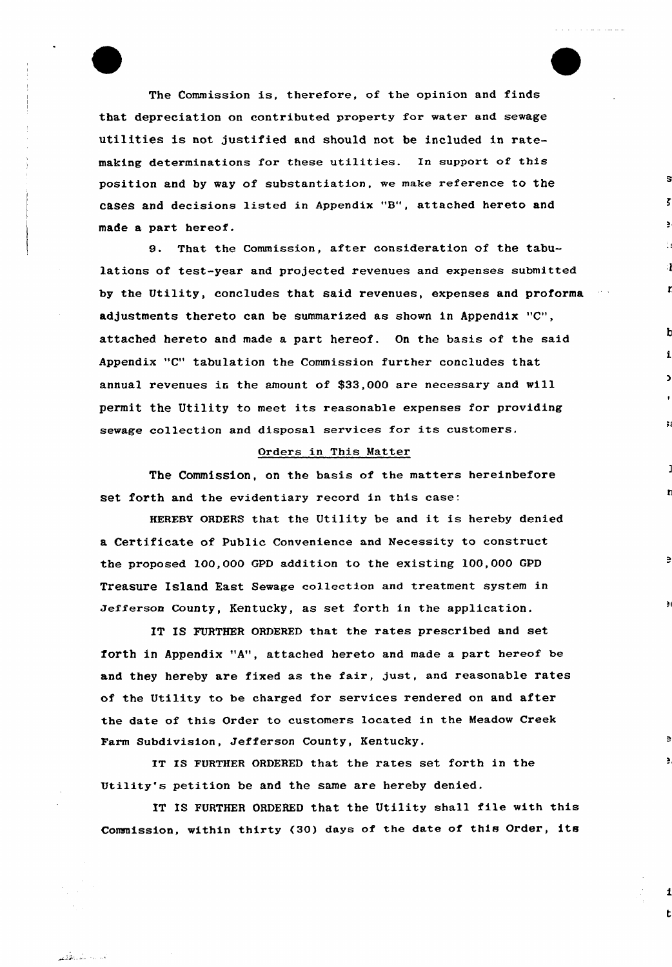The Commission is, therefore, of the opinion and finds that depreciation on contributed property for water and sewage utilities is not justified and should not be included in ratemaking determinations for these utilities. In support of this position and by way of substantiation, we make reference to the cases and decisions listed in Appendix "8", attached hereto and made a part hereof.

s

b

r.

ğ,

 $\geq$ 

 $\sim$   $\sim$ 

9. That the Commission, after consideration of the tabulations of test-year and projected revenues and expenses submitted by the Utility, concludes that said revenues, expenses and proforma adjustments thereto can be summarized as shown in Appendix "C", attached hereto and made a part hereof. On the basis of the said Appendix "C" tabulation the Commission further concludes that annual revenues in the amount of \$33,000 are necessary and will permit the Utility to meet its reasonable expenses for providing sewage collection and disposal services for its customers.

### Orders in This Natter

The Commission, on the basis of the matters hereinbefore set forth and the evidentiary record in this case:

HEREBY ORDERS that the Utility be and it is hereby denied a Certificate of Public Convenience and Necessity to construct the proposed 100,000 GPD addition to the existing 100,000 GPD Treasure Island East Sewage collection and treatment system in Jefferson County, Kentucky, as set forth in the application.

IT IS FURTHER ORDERED that the rates prescribed and set forth in Appendix "A", attached hereto and made a part hereof be and they hereby are fixed as the fair, just, and reasonable rates of the Utility to be charged for services rendered on and after the date of this Order to customers located in the Meadow Creek Farm Subdivision, Jefferson County, Kentucky.

IT IS FURTHER ORDERED that the rates set forth in the Utility's petition be and the same are hereby denied.

وماليت لتدره فليس

IT IS FURTHER ORDERED that the Utility shall file with this Commission, within thirty (30) days of the date of this Order, its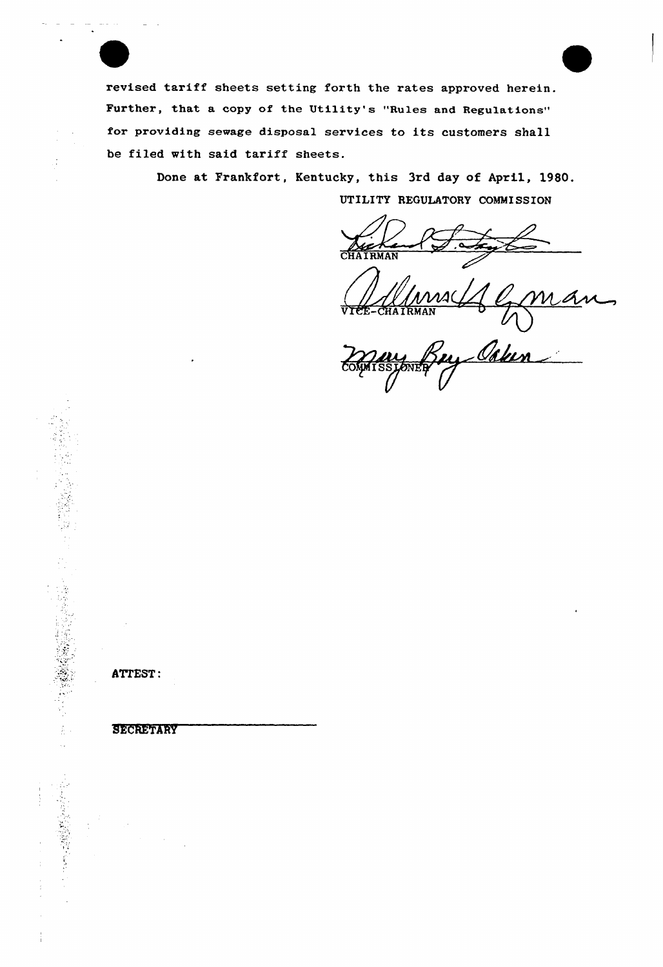revised tariff sheets setting forth the rates approved herein. Further, that a copy of the Utility's "Rules and Regulations" for providing sewage disposal services to its customers shall be filed with said tariff sheets.

> Done at Frankfort, Kentucky, this 3rd day of April, 1980. UTILITY REGULATORY COMMISSION

CHAIRMAN

Ums (1 cma  $\sim$ 

Bey Caker COMMISS

ATTEST:

SECRETARY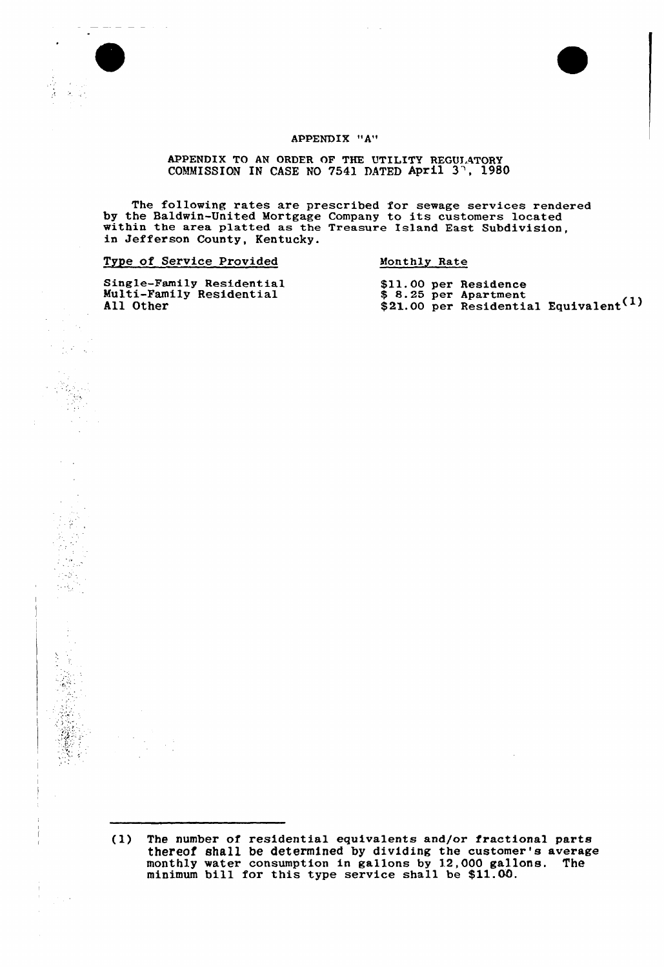

÷.

 $\overline{\phantom{a}}$ 

Ŷ  $\mathcal{O}_k$  $\boldsymbol{z}$  $\mathcal{L}^{\text{max}}(\mathcal{C})$  .  $\mathcal{L} \in \mathcal{L}$ 

 $\frac{1}{2} \frac{1}{2} \frac{1}{2}$ 

 $\sim$ 



### APPENDIX "A"

APPENDIX TO AN ORDER OF THE UTILITY REGULATORY COMMISSION IN CASE NO 7541 DATED April 3<sup>7</sup>, 1980

The following rates are prescribed for sewage services rendere by the Baldwin-United Mortgage Company to its customers located by the Baldwin-United Mortgage Company to its customers located within the area platted as the Treasure Island East Subdivision, in Jefferson County, Kentucky.

| Type of Service Provided |  |  |  | Monthly Rate |  |
|--------------------------|--|--|--|--------------|--|
|                          |  |  |  |              |  |

Single-Family Residentia Multi-Family Residentia All Other

\$11.00 per Residence 8.25 per Apartment \$21.00 per Residential Equivalent<sup>(1)</sup>

<sup>(1)</sup> The number of residential equivalents and/or fractional parts thereof shall be determined by dividing the customer's average monthly water consumption in gallons by 12,000 gallons. The monthly water consumption in garrons by 12,000 garrows.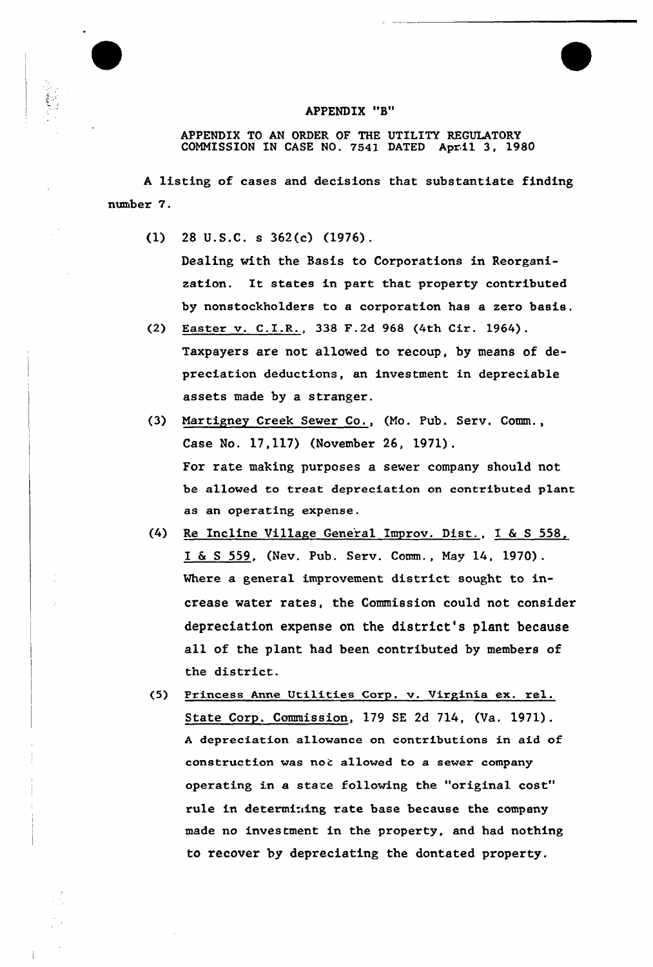### APPENDIX "B"

APPENDIX TO AN ORDER OF THE UTILITY REGULATORY COMMISSION IN CASE NO. 7S41 DATED April 3, 1980

<sup>A</sup> listing of cases and decisions that substantiate finding number 7.

(1) 28 U.S.C. s 362(c) (1976).

Dealing with the Basis to Corporations in Reorganization. It states in part that property contributed by nonstockholders to a corporation has a zero basis.

- (2) Easter v. C.I.R., 338 F.2d 968 {4th Cir. 1964). Taxpayers are not alloved to recoup, by means of depreciation deductions, an investment in depreciable assets made by a stranger.
- (3) Martigney Creek Sever Co., (Mo. Pub. Serv. Comm., Case No. 17,117) (November 26, 1971). For rate making purposes a sever company should not be allowed to treat depreciation on contributed plant as an operating expense.
- {4) Re Incline Village Gene'ral Improv. Dist., I & <sup>S</sup> 558, I & <sup>S</sup> 559, (Nev. Pub. Serv. Comm., May 14, 1970) . Where a general improvement district sought to increase water rates, the Commission could not consider depreciation expense on the district's plant because all of the plant had been contributed by members of the district.
- (5) Princess Anne Uti1ities Corp. v. Virginia ex. rel. State Corp. Commission, 179 SE 2d 714, (Va. 1971). <sup>A</sup> depreciation allowance on contributions in aid of construction was not allowed to a sever company operating in a state following the "original cost" rule in determining rate base because the company made no investment in the property, and had nothing to recover by depreciating the dontated property.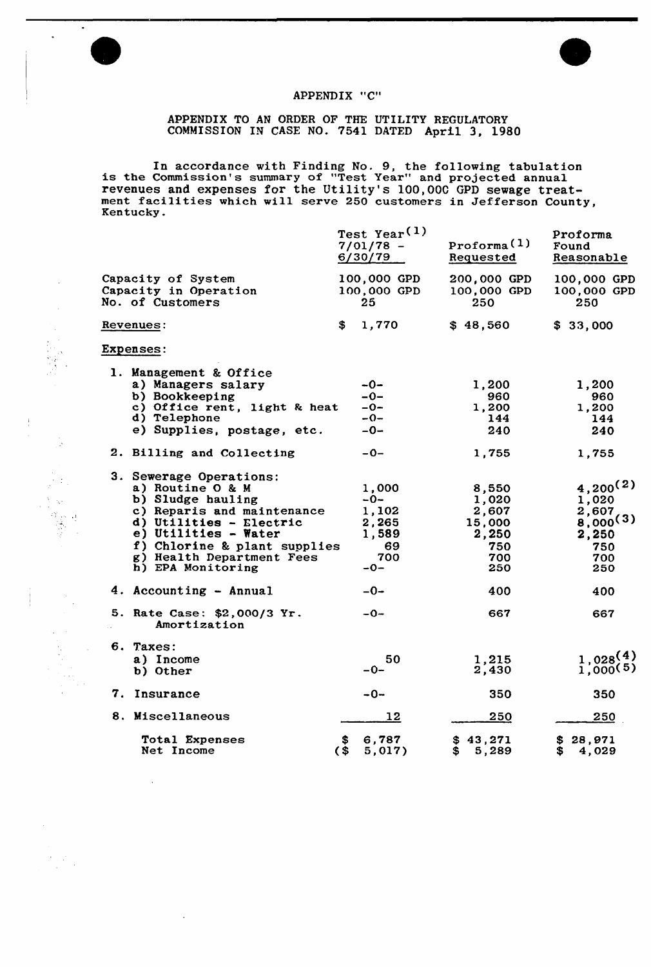

 $\ddot{\bullet}$ 

 $\ddot{\phantom{a}}$ 

 $\ddot{\phantom{a}}$ 

 $\frac{1}{\sqrt{2}}$ 

 $\mathcal{A}$ 

 $\label{eq:2} \begin{array}{l} \mathcal{F}_{\text{max}}(\mathcal{F}) \\ \mathcal{F}_{\text{max}}(\mathcal{F}) \end{array}$ 

 $\Delta$ 

 $\sim$ 

 $\frac{1}{2}$ 



# APPENDIX "C"

# APPENDIX TO AN ORDER OF THE UTILITY REGULATORY COMMISSION IN CASE NO. 7541 DATED April 3, 1980

In accordance with Finding No. 9, the following tabulation is the Commission's summary of "Test Year" and projected annual revenues and expenses for the Utility's 100,000 GPD sewage treatnevendes and expenses for the ottifity s foot, over drb sewage treat-<br>ment facilities which will serve 250 customers in Jefferson County Kentucky.

|                                                                                                                                                                                                                                                                                                                                                                                                                  | Test Year <sup>(1)</sup><br>$7/01/78 -$<br>6/30/79                                                                  | Proforma <sup>(1)</sup><br>Requested                                                                            | Proforma<br>Found<br>Reasonable                                                                                           |
|------------------------------------------------------------------------------------------------------------------------------------------------------------------------------------------------------------------------------------------------------------------------------------------------------------------------------------------------------------------------------------------------------------------|---------------------------------------------------------------------------------------------------------------------|-----------------------------------------------------------------------------------------------------------------|---------------------------------------------------------------------------------------------------------------------------|
| Capacity of System<br>Capacity in Operation<br>No. of Customers                                                                                                                                                                                                                                                                                                                                                  | 100,000 GPD<br>100,000 GPD<br>25.                                                                                   | 200,000 GPD<br>100,000 GPD<br>250                                                                               | 100,000 GPD<br>100,000 GPD<br>250                                                                                         |
| Revenues:                                                                                                                                                                                                                                                                                                                                                                                                        | 1,770<br>\$                                                                                                         | \$48,560                                                                                                        | \$33,000                                                                                                                  |
| <b>Expenses:</b>                                                                                                                                                                                                                                                                                                                                                                                                 |                                                                                                                     |                                                                                                                 |                                                                                                                           |
| 1. Management & Office<br>a) Managers salary<br>b) Bookkeeping<br>c) Office rent, light & heat<br>d) Telephone<br>e) Supplies, postage, etc.<br>2. Billing and Collecting<br>3. Sewerage Operations:<br>a) Routine O & M<br>b) Sludge hauling<br>c) Reparis and maintenance<br>d) Utilities - Electric<br>e) Utilities - Water<br>f) Chlorine & plant supplies<br>g) Health Department Fees<br>h) EPA Monitoring | $-0-$<br>$-0-$<br>$-0-$<br>$-0-$<br>$-0-$<br>$-0-$<br>1,000<br>-0-<br>1,102<br>2,265<br>1,589<br>69<br>700<br>$-0-$ | 1,200<br>960<br>1,200<br>144<br>240<br>1,755<br>8,550<br>1,020<br>2,607<br>15,000<br>2,250<br>750<br>700<br>250 | 1,200<br>960<br>1,200<br>144<br>240<br>1,755<br>$4,200^{(2)}$<br>1,020<br>2,607<br>8,000(3)<br>2,250<br>750<br>700<br>250 |
| 4. Accounting - Annual                                                                                                                                                                                                                                                                                                                                                                                           | $-0-$                                                                                                               | 400                                                                                                             | 400                                                                                                                       |
| 5. Rate Case: \$2,000/3 Yr.<br>Amortization                                                                                                                                                                                                                                                                                                                                                                      | $-0-$                                                                                                               | 667                                                                                                             | 667                                                                                                                       |
| 6. Taxes:<br>a) Income<br>b) Other                                                                                                                                                                                                                                                                                                                                                                               | 50<br>$-0-$                                                                                                         | 1,215<br>2,430                                                                                                  | 1,028(4)<br>1,000(5)                                                                                                      |
| 7. Insurance                                                                                                                                                                                                                                                                                                                                                                                                     | $-0-$                                                                                                               | 350                                                                                                             | 350                                                                                                                       |
| 8. Miscellaneous                                                                                                                                                                                                                                                                                                                                                                                                 | 12                                                                                                                  | 250                                                                                                             | 250                                                                                                                       |
| <b>Total Expenses</b><br>Net Income                                                                                                                                                                                                                                                                                                                                                                              | 6,787<br>(S<br>5,017)                                                                                               | \$43,271<br>\$<br>5,289                                                                                         | \$28,971<br>S<br>4,029                                                                                                    |